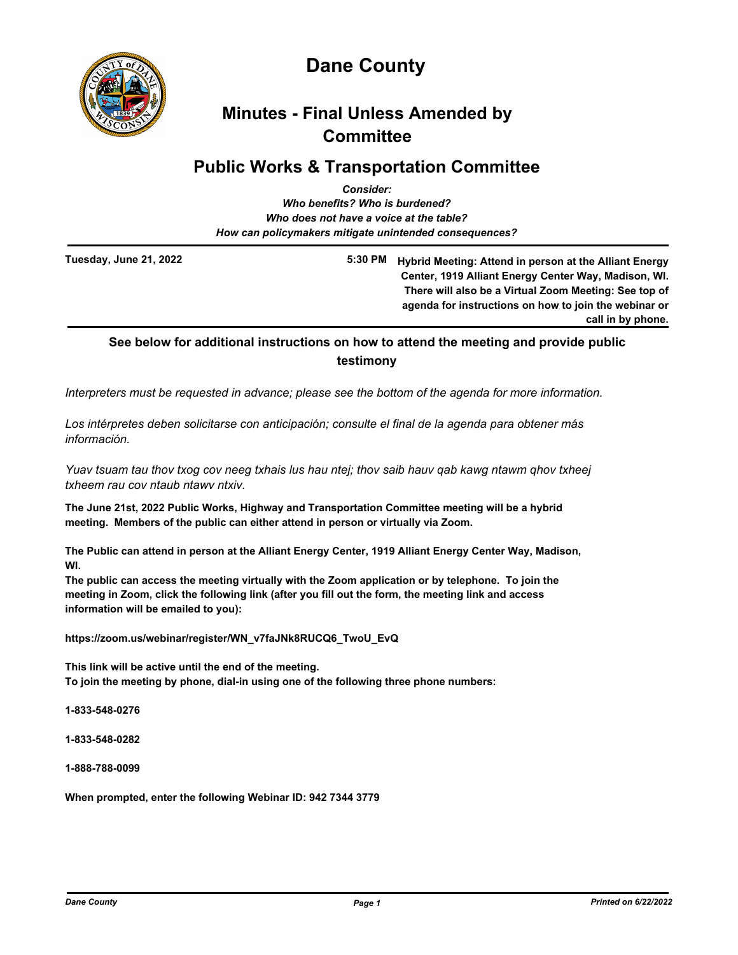

# **Dane County**

# **Minutes - Final Unless Amended by Committee**

## **Public Works & Transportation Committee**

|                                                        | <b>Consider:</b>                                                                                                                                                                                                                            |
|--------------------------------------------------------|---------------------------------------------------------------------------------------------------------------------------------------------------------------------------------------------------------------------------------------------|
|                                                        | Who benefits? Who is burdened?                                                                                                                                                                                                              |
|                                                        | Who does not have a voice at the table?                                                                                                                                                                                                     |
| How can policymakers mitigate unintended consequences? |                                                                                                                                                                                                                                             |
| Tuesday, June 21, 2022                                 | 5:30 PM<br>Hybrid Meeting: Attend in person at the Alliant Energy<br>Center, 1919 Alliant Energy Center Way, Madison, WI.<br>There will also be a Virtual Zoom Meeting: See top of<br>agenda for instructions on how to join the webinar or |

**call in by phone.**

## **See below for additional instructions on how to attend the meeting and provide public testimony**

*Interpreters must be requested in advance; please see the bottom of the agenda for more information.*

*Los intérpretes deben solicitarse con anticipación; consulte el final de la agenda para obtener más información.*

*Yuav tsuam tau thov txog cov neeg txhais lus hau ntej; thov saib hauv qab kawg ntawm qhov txheej txheem rau cov ntaub ntawv ntxiv.*

**The June 21st, 2022 Public Works, Highway and Transportation Committee meeting will be a hybrid meeting. Members of the public can either attend in person or virtually via Zoom.**

**The Public can attend in person at the Alliant Energy Center, 1919 Alliant Energy Center Way, Madison, WI.** 

**The public can access the meeting virtually with the Zoom application or by telephone. To join the meeting in Zoom, click the following link (after you fill out the form, the meeting link and access information will be emailed to you):** 

**https://zoom.us/webinar/register/WN\_v7faJNk8RUCQ6\_TwoU\_EvQ**

**This link will be active until the end of the meeting. To join the meeting by phone, dial-in using one of the following three phone numbers:**

**1-833-548-0276**

**1-833-548-0282**

**1-888-788-0099**

**When prompted, enter the following Webinar ID: 942 7344 3779**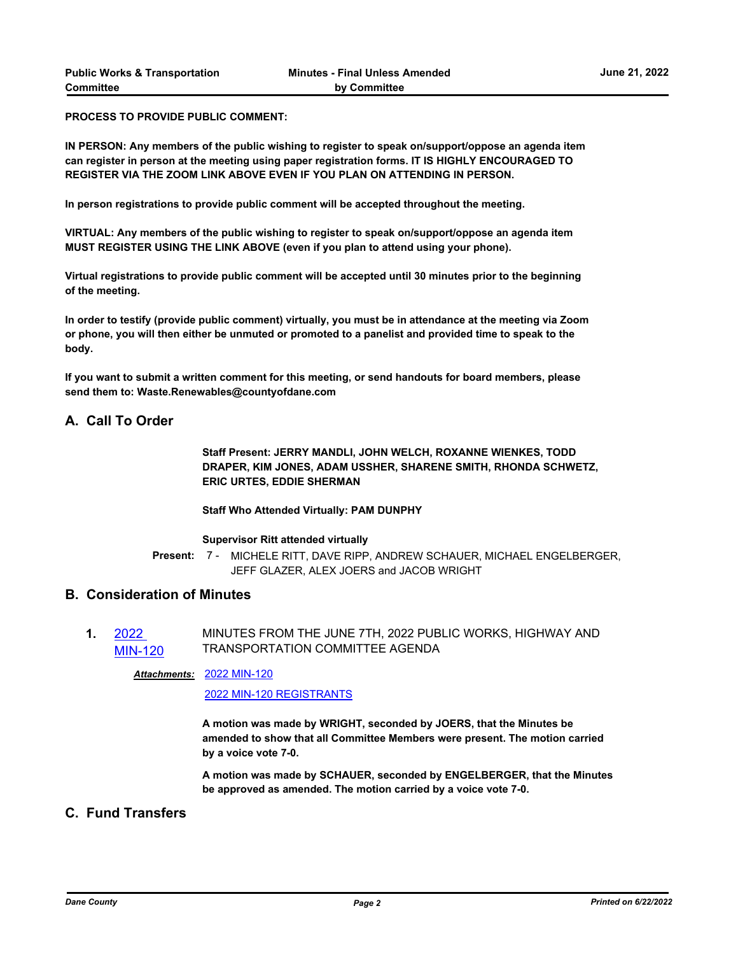**PROCESS TO PROVIDE PUBLIC COMMENT:** 

**IN PERSON: Any members of the public wishing to register to speak on/support/oppose an agenda item can register in person at the meeting using paper registration forms. IT IS HIGHLY ENCOURAGED TO REGISTER VIA THE ZOOM LINK ABOVE EVEN IF YOU PLAN ON ATTENDING IN PERSON.** 

**In person registrations to provide public comment will be accepted throughout the meeting.**

**VIRTUAL: Any members of the public wishing to register to speak on/support/oppose an agenda item MUST REGISTER USING THE LINK ABOVE (even if you plan to attend using your phone).**

**Virtual registrations to provide public comment will be accepted until 30 minutes prior to the beginning of the meeting.**

**In order to testify (provide public comment) virtually, you must be in attendance at the meeting via Zoom or phone, you will then either be unmuted or promoted to a panelist and provided time to speak to the body.**

**If you want to submit a written comment for this meeting, or send handouts for board members, please send them to: Waste.Renewables@countyofdane.com**

## **A. Call To Order**

**Staff Present: JERRY MANDLI, JOHN WELCH, ROXANNE WIENKES, TODD DRAPER, KIM JONES, ADAM USSHER, SHARENE SMITH, RHONDA SCHWETZ, ERIC URTES, EDDIE SHERMAN**

### **Staff Who Attended Virtually: PAM DUNPHY**

#### **Supervisor Ritt attended virtually**

Present: 7 - MICHELE RITT, DAVE RIPP, ANDREW SCHAUER, MICHAEL ENGELBERGER, JEFF GLAZER, ALEX JOERS and JACOB WRIGHT

## **B. Consideration of Minutes**

**1.** 2022 [MIN-120](http://dane.legistar.com/gateway.aspx?m=l&id=/matter.aspx?key=23098) MINUTES FROM THE JUNE 7TH, 2022 PUBLIC WORKS, HIGHWAY AND TRANSPORTATION COMMITTEE AGENDA

#### [2022 MIN-120](http://dane.legistar.com/gateway.aspx?M=F&ID=caaecb3c-2a7f-4b79-9419-f040d5feb905.pdf) *Attachments:*

[2022 MIN-120 REGISTRANTS](http://dane.legistar.com/gateway.aspx?M=F&ID=c410ffd4-a5aa-4407-a218-343a5baa3e98.pdf)

**A motion was made by WRIGHT, seconded by JOERS, that the Minutes be amended to show that all Committee Members were present. The motion carried by a voice vote 7-0.**

**A motion was made by SCHAUER, seconded by ENGELBERGER, that the Minutes be approved as amended. The motion carried by a voice vote 7-0.**

## **C. Fund Transfers**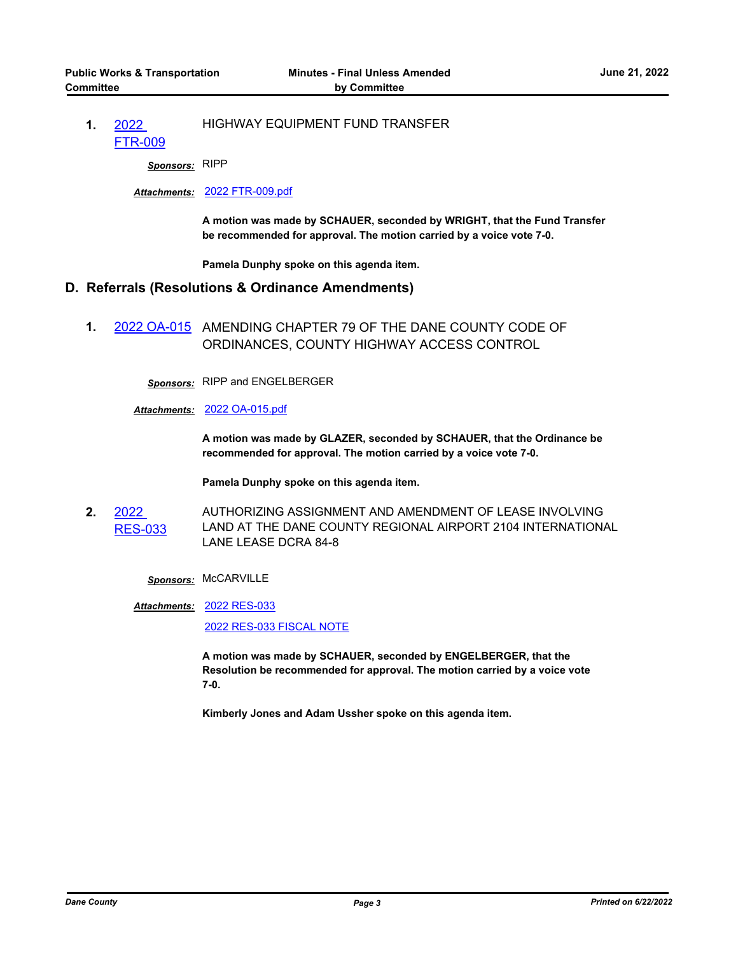#### **1.** 2022 [FTR-009](http://dane.legistar.com/gateway.aspx?m=l&id=/matter.aspx?key=23090) HIGHWAY EQUIPMENT FUND TRANSFER

*Sponsors:* RIPP

### *Attachments:* [2022 FTR-009.pdf](http://dane.legistar.com/gateway.aspx?M=F&ID=11841f6b-c96d-499e-9430-bf1b6a702b5d.pdf)

**A motion was made by SCHAUER, seconded by WRIGHT, that the Fund Transfer be recommended for approval. The motion carried by a voice vote 7-0.**

**Pamela Dunphy spoke on this agenda item.**

## **D. Referrals (Resolutions & Ordinance Amendments)**

**1.** [2022 OA-015](http://dane.legistar.com/gateway.aspx?m=l&id=/matter.aspx?key=23045) AMENDING CHAPTER 79 OF THE DANE COUNTY CODE OF ORDINANCES, COUNTY HIGHWAY ACCESS CONTROL

*Sponsors:* RIPP and ENGELBERGER

#### *Attachments:* [2022 OA-015.pdf](http://dane.legistar.com/gateway.aspx?M=F&ID=668d714f-e88a-4c65-8c46-e7baf049f3a1.pdf)

**A motion was made by GLAZER, seconded by SCHAUER, that the Ordinance be recommended for approval. The motion carried by a voice vote 7-0.**

**Pamela Dunphy spoke on this agenda item.**

**2.** 2022 [RES-033](http://dane.legistar.com/gateway.aspx?m=l&id=/matter.aspx?key=22878) AUTHORIZING ASSIGNMENT AND AMENDMENT OF LEASE INVOLVING LAND AT THE DANE COUNTY REGIONAL AIRPORT 2104 INTERNATIONAL LANE LEASE DCRA 84-8

*Sponsors:* McCARVILLE

[2022 RES-033](http://dane.legistar.com/gateway.aspx?M=F&ID=7c8d9eb6-17bf-42d5-a265-0802133bbc4c.pdf) *Attachments:*

[2022 RES-033 FISCAL NOTE](http://dane.legistar.com/gateway.aspx?M=F&ID=ceae8603-f485-4e82-8dc9-cfa4556da217.pdf)

**A motion was made by SCHAUER, seconded by ENGELBERGER, that the Resolution be recommended for approval. The motion carried by a voice vote 7-0.** 

**Kimberly Jones and Adam Ussher spoke on this agenda item.**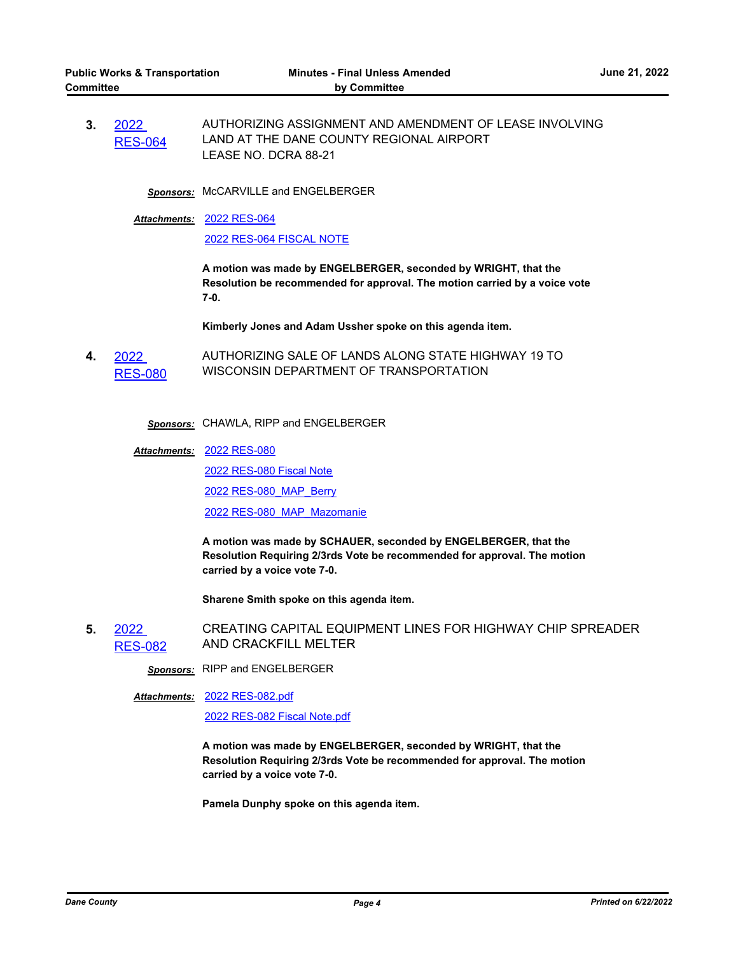**3.** 2022 [RES-064](http://dane.legistar.com/gateway.aspx?m=l&id=/matter.aspx?key=22995) AUTHORIZING ASSIGNMENT AND AMENDMENT OF LEASE INVOLVING LAND AT THE DANE COUNTY REGIONAL AIRPORT LEASE NO. DCRA 88-21

**Sponsors:** McCARVILLE and ENGELBERGER

[2022 RES-064](http://dane.legistar.com/gateway.aspx?M=F&ID=77e81ebc-38ee-444f-a5cc-a0e1f617762d.pdf) *Attachments:*

[2022 RES-064 FISCAL NOTE](http://dane.legistar.com/gateway.aspx?M=F&ID=db34d637-aa52-45ba-96c8-2edc218986d3.pdf)

**A motion was made by ENGELBERGER, seconded by WRIGHT, that the Resolution be recommended for approval. The motion carried by a voice vote 7-0.**

**Kimberly Jones and Adam Ussher spoke on this agenda item.**

**4.** 2022 [RES-080](http://dane.legistar.com/gateway.aspx?m=l&id=/matter.aspx?key=23087) AUTHORIZING SALE OF LANDS ALONG STATE HIGHWAY 19 TO WISCONSIN DEPARTMENT OF TRANSPORTATION

*Sponsors:* CHAWLA, RIPP and ENGELBERGER

[2022 RES-080](http://dane.legistar.com/gateway.aspx?M=F&ID=f1a9d8c6-2b6a-4a9b-800f-35f2f19c2877.pdf) *Attachments:*

[2022 RES-080 Fiscal Note](http://dane.legistar.com/gateway.aspx?M=F&ID=9120691f-19e4-483b-a09c-3a3610b43c0b.pdf)

[2022 RES-080\\_MAP\\_Berry](http://dane.legistar.com/gateway.aspx?M=F&ID=3bf7e323-5809-49b5-aafe-1001f687deaf.pdf)

[2022 RES-080\\_MAP\\_Mazomanie](http://dane.legistar.com/gateway.aspx?M=F&ID=d34c5273-ff5e-4c74-b696-041de942f92d.pdf)

**A motion was made by SCHAUER, seconded by ENGELBERGER, that the Resolution Requiring 2/3rds Vote be recommended for approval. The motion carried by a voice vote 7-0.**

**Sharene Smith spoke on this agenda item.**

**5.** 2022 [RES-082](http://dane.legistar.com/gateway.aspx?m=l&id=/matter.aspx?key=23091) CREATING CAPITAL EQUIPMENT LINES FOR HIGHWAY CHIP SPREADER AND CRACKFILL MELTER

*Sponsors:* RIPP and ENGELBERGER

#### [2022 RES-082.pdf](http://dane.legistar.com/gateway.aspx?M=F&ID=8323b588-2bbc-4f39-9bc7-15d4a0ef1f75.pdf) *Attachments:*

[2022 RES-082 Fiscal Note.pdf](http://dane.legistar.com/gateway.aspx?M=F&ID=45a3de5c-4fe8-4bfe-b535-42d54454628a.pdf)

**A motion was made by ENGELBERGER, seconded by WRIGHT, that the Resolution Requiring 2/3rds Vote be recommended for approval. The motion carried by a voice vote 7-0.**

**Pamela Dunphy spoke on this agenda item.**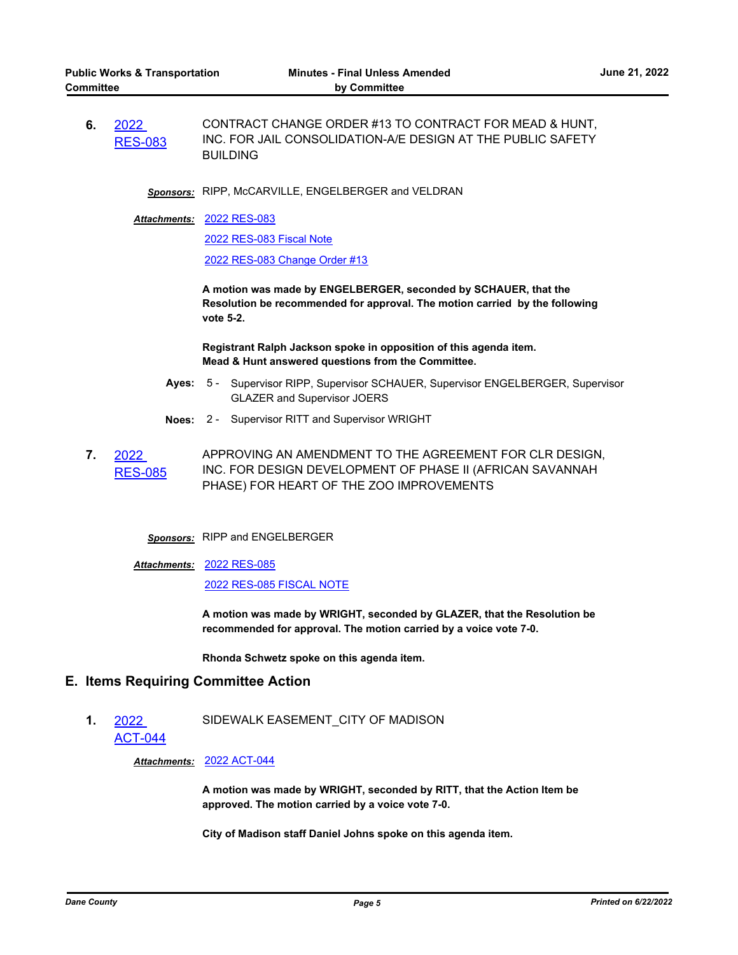**6.** 2022 [RES-083](http://dane.legistar.com/gateway.aspx?m=l&id=/matter.aspx?key=23092) CONTRACT CHANGE ORDER #13 TO CONTRACT FOR MEAD & HUNT, INC. FOR JAIL CONSOLIDATION-A/E DESIGN AT THE PUBLIC SAFETY BUILDING

*Sponsors:* RIPP, McCARVILLE, ENGELBERGER and VELDRAN

[2022 RES-083](http://dane.legistar.com/gateway.aspx?M=F&ID=da166be9-aa58-49c0-97cb-43b9f72bbe59.pdf) *Attachments:*

[2022 RES-083 Fiscal Note](http://dane.legistar.com/gateway.aspx?M=F&ID=913f3233-9221-4bbd-8842-166f7676b347.pdf)

[2022 RES-083 Change Order #13](http://dane.legistar.com/gateway.aspx?M=F&ID=3b55b827-f15f-40df-bd4b-0132b05e9bf1.pdf)

**A motion was made by ENGELBERGER, seconded by SCHAUER, that the Resolution be recommended for approval. The motion carried by the following vote 5-2.** 

**Registrant Ralph Jackson spoke in opposition of this agenda item. Mead & Hunt answered questions from the Committee.**

- **Ayes:** Supervisor RIPP, Supervisor SCHAUER, Supervisor ENGELBERGER, Supervisor GLAZER and Supervisor JOERS Ayes:  $5 -$
- **Noes:** 2 Supervisor RITT and Supervisor WRIGHT
- **7.** 2022 [RES-085](http://dane.legistar.com/gateway.aspx?m=l&id=/matter.aspx?key=23099) APPROVING AN AMENDMENT TO THE AGREEMENT FOR CLR DESIGN, INC. FOR DESIGN DEVELOPMENT OF PHASE II (AFRICAN SAVANNAH PHASE) FOR HEART OF THE ZOO IMPROVEMENTS
	- *Sponsors:* RIPP and ENGELBERGER
	- [2022 RES-085](http://dane.legistar.com/gateway.aspx?M=F&ID=7b19ac4b-ac7f-4d4c-9323-d854fcbd5b37.pdf) *Attachments:* [2022 RES-085 FISCAL NOTE](http://dane.legistar.com/gateway.aspx?M=F&ID=3f71f01f-ae40-408f-b7c5-ad73fdd254f7.pdf)

**A motion was made by WRIGHT, seconded by GLAZER, that the Resolution be recommended for approval. The motion carried by a voice vote 7-0.**

**Rhonda Schwetz spoke on this agenda item.**

## **E. Items Requiring Committee Action**

**1.** 2022 [ACT-044](http://dane.legistar.com/gateway.aspx?m=l&id=/matter.aspx?key=23064) SIDEWALK EASEMENT\_CITY OF MADISON

*Attachments:* [2022 ACT-044](http://dane.legistar.com/gateway.aspx?M=F&ID=bc127d32-c0ba-49eb-af86-a88539cc89f5.pdf)

**A motion was made by WRIGHT, seconded by RITT, that the Action Item be approved. The motion carried by a voice vote 7-0.**

**City of Madison staff Daniel Johns spoke on this agenda item.**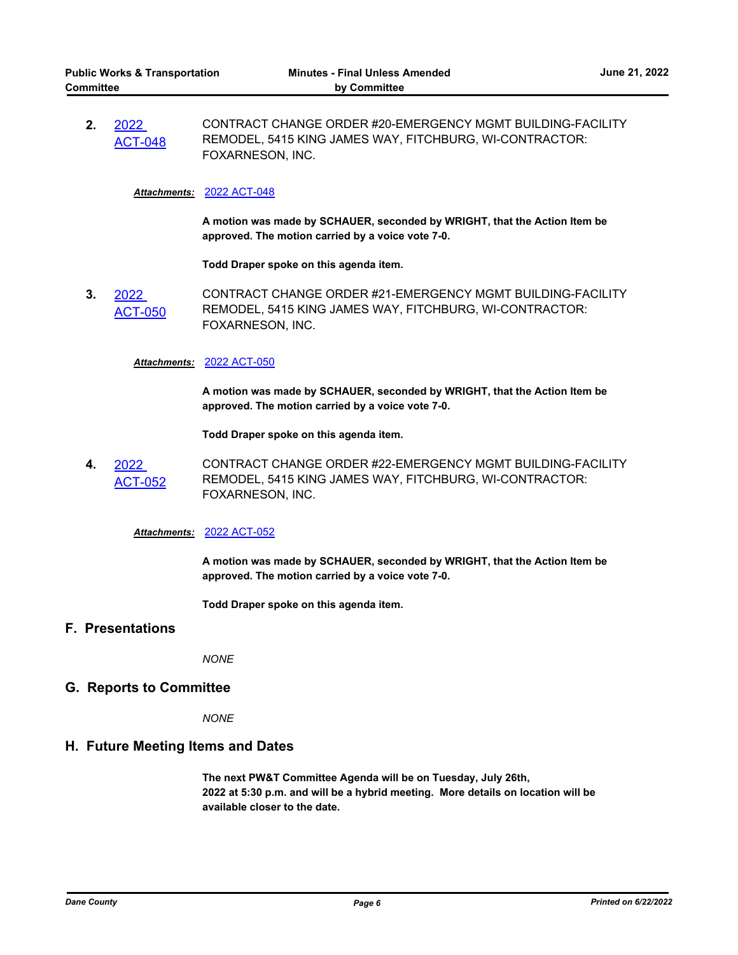**2.** 2022 [ACT-048](http://dane.legistar.com/gateway.aspx?m=l&id=/matter.aspx?key=23094) CONTRACT CHANGE ORDER #20-EMERGENCY MGMT BUILDING-FACILITY REMODEL, 5415 KING JAMES WAY, FITCHBURG, WI-CONTRACTOR: FOXARNESON, INC.

### *Attachments:* [2022 ACT-048](http://dane.legistar.com/gateway.aspx?M=F&ID=a2298729-d05e-4fab-9ff9-306df3d5d008.pdf)

**A motion was made by SCHAUER, seconded by WRIGHT, that the Action Item be approved. The motion carried by a voice vote 7-0.**

**Todd Draper spoke on this agenda item.**

**3.** 2022 CT-050 CONTRACT CHANGE ORDER #21-EMERGENCY MGMT BUILDING-FACILITY REMODEL, 5415 KING JAMES WAY, FITCHBURG, WI-CONTRACTOR: FOXARNESON, INC.

#### *Attachments:* [2022 ACT-050](http://dane.legistar.com/gateway.aspx?M=F&ID=f51eab40-049f-4f46-a9a3-81604fcb418e.pdf)

**A motion was made by SCHAUER, seconded by WRIGHT, that the Action Item be approved. The motion carried by a voice vote 7-0.**

**Todd Draper spoke on this agenda item.**

**4.** 2022 [ACT-052](http://dane.legistar.com/gateway.aspx?m=l&id=/matter.aspx?key=23097) CONTRACT CHANGE ORDER #22-EMERGENCY MGMT BUILDING-FACILITY REMODEL, 5415 KING JAMES WAY, FITCHBURG, WI-CONTRACTOR: FOXARNESON, INC.

## *Attachments:* [2022 ACT-052](http://dane.legistar.com/gateway.aspx?M=F&ID=033ec6e6-2a6e-4baa-b9a6-f3f790e447df.pdf)

**A motion was made by SCHAUER, seconded by WRIGHT, that the Action Item be approved. The motion carried by a voice vote 7-0.**

**Todd Draper spoke on this agenda item.**

## **F. Presentations**

*NONE*

### **G. Reports to Committee**

*NONE*

## **H. Future Meeting Items and Dates**

**The next PW&T Committee Agenda will be on Tuesday, July 26th, 2022 at 5:30 p.m. and will be a hybrid meeting. More details on location will be available closer to the date.**